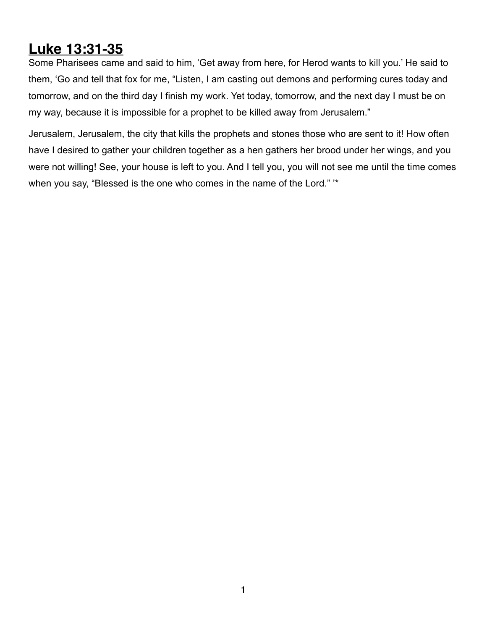## **Luke 13:31-35**

Some Pharisees came and said to him, 'Get away from here, for Herod wants to kill you.' He said to them, 'Go and tell that fox for me, "Listen, I am casting out demons and performing cures today and tomorrow, and on the third day I finish my work. Yet today, tomorrow, and the next day I must be on my way, because it is impossible for a prophet to be killed away from Jerusalem."

Jerusalem, Jerusalem, the city that kills the prophets and stones those who are sent to it! How often have I desired to gather your children together as a hen gathers her brood under her wings, and you were not willing! See, your house is left to you. And I tell you, you will not see me until the time comes when you say, "Blessed is the one who comes in the name of the Lord." '\*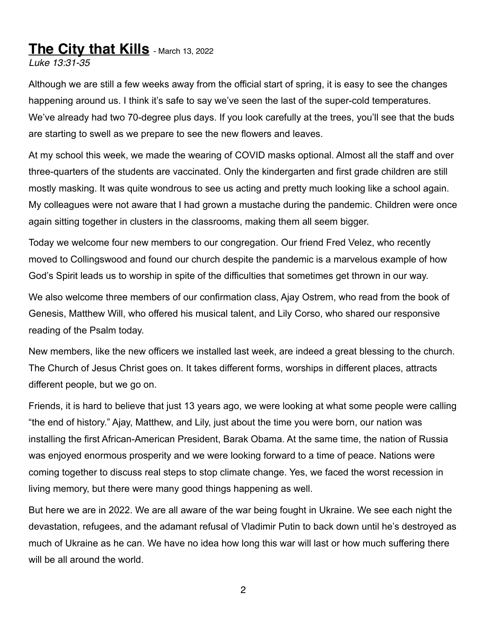## **The City that Kills** - March 13, 2022

*Luke 13:31-35*

Although we are still a few weeks away from the official start of spring, it is easy to see the changes happening around us. I think it's safe to say we've seen the last of the super-cold temperatures. We've already had two 70-degree plus days. If you look carefully at the trees, you'll see that the buds are starting to swell as we prepare to see the new flowers and leaves.

At my school this week, we made the wearing of COVID masks optional. Almost all the staff and over three-quarters of the students are vaccinated. Only the kindergarten and first grade children are still mostly masking. It was quite wondrous to see us acting and pretty much looking like a school again. My colleagues were not aware that I had grown a mustache during the pandemic. Children were once again sitting together in clusters in the classrooms, making them all seem bigger.

Today we welcome four new members to our congregation. Our friend Fred Velez, who recently moved to Collingswood and found our church despite the pandemic is a marvelous example of how God's Spirit leads us to worship in spite of the difficulties that sometimes get thrown in our way.

We also welcome three members of our confirmation class, Ajay Ostrem, who read from the book of Genesis, Matthew Will, who offered his musical talent, and Lily Corso, who shared our responsive reading of the Psalm today.

New members, like the new officers we installed last week, are indeed a great blessing to the church. The Church of Jesus Christ goes on. It takes different forms, worships in different places, attracts different people, but we go on.

Friends, it is hard to believe that just 13 years ago, we were looking at what some people were calling "the end of history." Ajay, Matthew, and Lily, just about the time you were born, our nation was installing the first African-American President, Barak Obama. At the same time, the nation of Russia was enjoyed enormous prosperity and we were looking forward to a time of peace. Nations were coming together to discuss real steps to stop climate change. Yes, we faced the worst recession in living memory, but there were many good things happening as well.

But here we are in 2022. We are all aware of the war being fought in Ukraine. We see each night the devastation, refugees, and the adamant refusal of Vladimir Putin to back down until he's destroyed as much of Ukraine as he can. We have no idea how long this war will last or how much suffering there will be all around the world.

2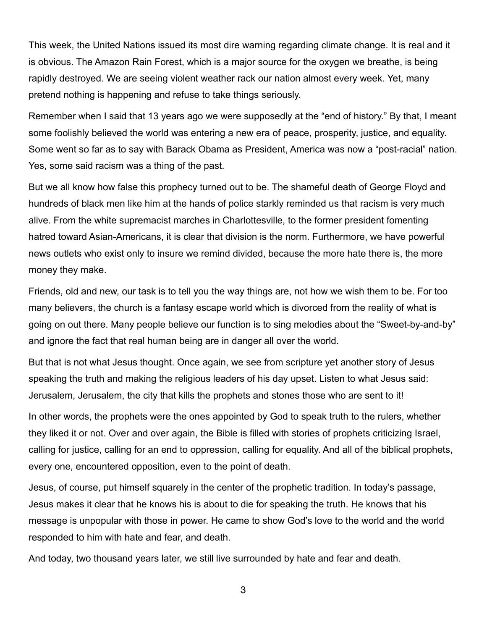This week, the United Nations issued its most dire warning regarding climate change. It is real and it is obvious. The Amazon Rain Forest, which is a major source for the oxygen we breathe, is being rapidly destroyed. We are seeing violent weather rack our nation almost every week. Yet, many pretend nothing is happening and refuse to take things seriously.

Remember when I said that 13 years ago we were supposedly at the "end of history." By that, I meant some foolishly believed the world was entering a new era of peace, prosperity, justice, and equality. Some went so far as to say with Barack Obama as President, America was now a "post-racial" nation. Yes, some said racism was a thing of the past.

But we all know how false this prophecy turned out to be. The shameful death of George Floyd and hundreds of black men like him at the hands of police starkly reminded us that racism is very much alive. From the white supremacist marches in Charlottesville, to the former president fomenting hatred toward Asian-Americans, it is clear that division is the norm. Furthermore, we have powerful news outlets who exist only to insure we remind divided, because the more hate there is, the more money they make.

Friends, old and new, our task is to tell you the way things are, not how we wish them to be. For too many believers, the church is a fantasy escape world which is divorced from the reality of what is going on out there. Many people believe our function is to sing melodies about the "Sweet-by-and-by" and ignore the fact that real human being are in danger all over the world.

But that is not what Jesus thought. Once again, we see from scripture yet another story of Jesus speaking the truth and making the religious leaders of his day upset. Listen to what Jesus said: Jerusalem, Jerusalem, the city that kills the prophets and stones those who are sent to it!

In other words, the prophets were the ones appointed by God to speak truth to the rulers, whether they liked it or not. Over and over again, the Bible is filled with stories of prophets criticizing Israel, calling for justice, calling for an end to oppression, calling for equality. And all of the biblical prophets, every one, encountered opposition, even to the point of death.

Jesus, of course, put himself squarely in the center of the prophetic tradition. In today's passage, Jesus makes it clear that he knows his is about to die for speaking the truth. He knows that his message is unpopular with those in power. He came to show God's love to the world and the world responded to him with hate and fear, and death.

And today, two thousand years later, we still live surrounded by hate and fear and death.

3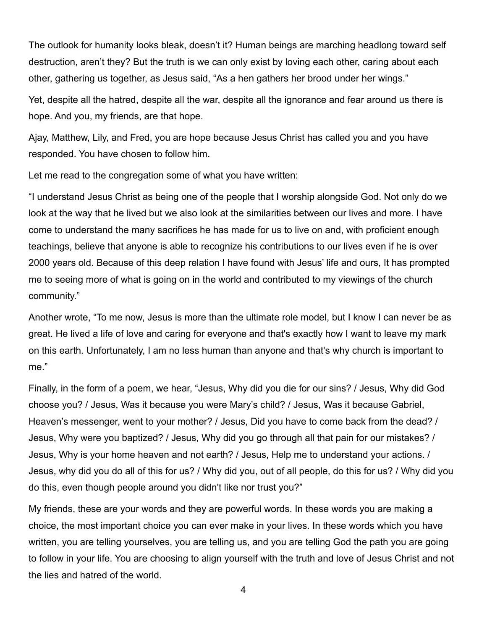The outlook for humanity looks bleak, doesn't it? Human beings are marching headlong toward self destruction, aren't they? But the truth is we can only exist by loving each other, caring about each other, gathering us together, as Jesus said, "As a hen gathers her brood under her wings."

Yet, despite all the hatred, despite all the war, despite all the ignorance and fear around us there is hope. And you, my friends, are that hope.

Ajay, Matthew, Lily, and Fred, you are hope because Jesus Christ has called you and you have responded. You have chosen to follow him.

Let me read to the congregation some of what you have written:

"I understand Jesus Christ as being one of the people that I worship alongside God. Not only do we look at the way that he lived but we also look at the similarities between our lives and more. I have come to understand the many sacrifices he has made for us to live on and, with proficient enough teachings, believe that anyone is able to recognize his contributions to our lives even if he is over 2000 years old. Because of this deep relation I have found with Jesus' life and ours, It has prompted me to seeing more of what is going on in the world and contributed to my viewings of the church community."

Another wrote, "To me now, Jesus is more than the ultimate role model, but I know I can never be as great. He lived a life of love and caring for everyone and that's exactly how I want to leave my mark on this earth. Unfortunately, I am no less human than anyone and that's why church is important to me."

Finally, in the form of a poem, we hear, "Jesus, Why did you die for our sins? / Jesus, Why did God choose you? / Jesus, Was it because you were Mary's child? / Jesus, Was it because Gabriel, Heaven's messenger, went to your mother? / Jesus, Did you have to come back from the dead? / Jesus, Why were you baptized? / Jesus, Why did you go through all that pain for our mistakes? / Jesus, Why is your home heaven and not earth? / Jesus, Help me to understand your actions. / Jesus, why did you do all of this for us? / Why did you, out of all people, do this for us? / Why did you do this, even though people around you didn't like nor trust you?"

My friends, these are your words and they are powerful words. In these words you are making a choice, the most important choice you can ever make in your lives. In these words which you have written, you are telling yourselves, you are telling us, and you are telling God the path you are going to follow in your life. You are choosing to align yourself with the truth and love of Jesus Christ and not the lies and hatred of the world.